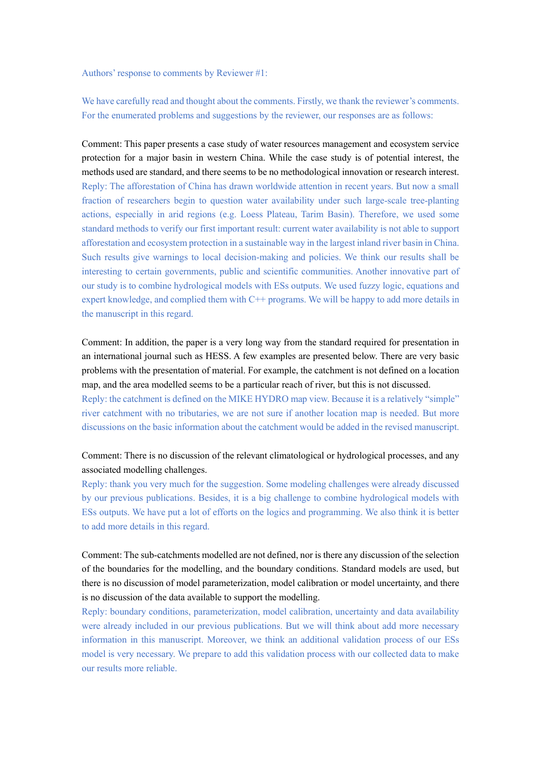Authors' response to comments by Reviewer #1:

We have carefully read and thought about the comments. Firstly, we thank the reviewer's comments. For the enumerated problems and suggestions by the reviewer, our responses are as follows:

Comment: This paper presents a case study of water resources management and ecosystem service protection for a major basin in western China. While the case study is of potential interest, the methods used are standard, and there seems to be no methodological innovation or research interest. Reply: The afforestation of China has drawn worldwide attention in recent years. But now a small fraction of researchers begin to question water availability under such large-scale tree-planting actions, especially in arid regions (e.g. Loess Plateau, Tarim Basin). Therefore, we used some standard methods to verify our first important result: current water availability is not able to support afforestation and ecosystem protection in a sustainable way in the largest inland river basin in China. Such results give warnings to local decision-making and policies. We think our results shall be interesting to certain governments, public and scientific communities. Another innovative part of our study is to combine hydrological models with ESs outputs. We used fuzzy logic, equations and expert knowledge, and complied them with C++ programs. We will be happy to add more details in the manuscript in this regard.

Comment: In addition, the paper is a very long way from the standard required for presentation in an international journal such as HESS. A few examples are presented below. There are very basic problems with the presentation of material. For example, the catchment is not defined on a location map, and the area modelled seems to be a particular reach of river, but this is not discussed.

Reply: the catchment is defined on the MIKE HYDRO map view. Because it is a relatively "simple" river catchment with no tributaries, we are not sure if another location map is needed. But more discussions on the basic information about the catchment would be added in the revised manuscript.

## Comment: There is no discussion of the relevant climatological or hydrological processes, and any associated modelling challenges.

Reply: thank you very much for the suggestion. Some modeling challenges were already discussed by our previous publications. Besides, it is a big challenge to combine hydrological models with ESs outputs. We have put a lot of efforts on the logics and programming. We also think it is better to add more details in this regard.

Comment: The sub-catchments modelled are not defined, nor is there any discussion of the selection of the boundaries for the modelling, and the boundary conditions. Standard models are used, but there is no discussion of model parameterization, model calibration or model uncertainty, and there is no discussion of the data available to support the modelling.

Reply: boundary conditions, parameterization, model calibration, uncertainty and data availability were already included in our previous publications. But we will think about add more necessary information in this manuscript. Moreover, we think an additional validation process of our ESs model is very necessary. We prepare to add this validation process with our collected data to make our results more reliable.